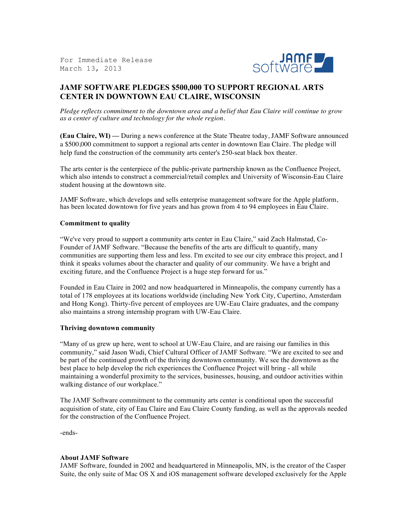For Immediate Release March 13, 2013



## **JAMF SOFTWARE PLEDGES \$500,000 TO SUPPORT REGIONAL ARTS CENTER IN DOWNTOWN EAU CLAIRE, WISCONSIN**

*Pledge reflects commitment to the downtown area and a belief that Eau Claire will continue to grow as a center of culture and technology for the whole region.*

**(Eau Claire, WI) —** During a news conference at the State Theatre today, JAMF Software announced a \$500,000 commitment to support a regional arts center in downtown Eau Claire. The pledge will help fund the construction of the community arts center's 250-seat black box theater.

The arts center is the centerpiece of the public-private partnership known as the Confluence Project, which also intends to construct a commercial/retail complex and University of Wisconsin-Eau Claire student housing at the downtown site.

JAMF Software, which develops and sells enterprise management software for the Apple platform, has been located downtown for five years and has grown from 4 to 94 employees in Eau Claire.

## **Commitment to quality**

"We've very proud to support a community arts center in Eau Claire," said Zach Halmstad, Co-Founder of JAMF Software. "Because the benefits of the arts are difficult to quantify, many communities are supporting them less and less. I'm excited to see our city embrace this project, and I think it speaks volumes about the character and quality of our community. We have a bright and exciting future, and the Confluence Project is a huge step forward for us."

Founded in Eau Claire in 2002 and now headquartered in Minneapolis, the company currently has a total of 178 employees at its locations worldwide (including New York City, Cupertino, Amsterdam and Hong Kong). Thirty-five percent of employees are UW-Eau Claire graduates, and the company also maintains a strong internship program with UW-Eau Claire.

## **Thriving downtown community**

"Many of us grew up here, went to school at UW-Eau Claire, and are raising our families in this community," said Jason Wudi, Chief Cultural Officer of JAMF Software. "We are excited to see and be part of the continued growth of the thriving downtown community. We see the downtown as the best place to help develop the rich experiences the Confluence Project will bring - all while maintaining a wonderful proximity to the services, businesses, housing, and outdoor activities within walking distance of our workplace."

The JAMF Software commitment to the community arts center is conditional upon the successful acquisition of state, city of Eau Claire and Eau Claire County funding, as well as the approvals needed for the construction of the Confluence Project.

-ends-

## **About JAMF Software**

JAMF Software, founded in 2002 and headquartered in Minneapolis, MN, is the creator of the Casper Suite, the only suite of Mac OS X and iOS management software developed exclusively for the Apple